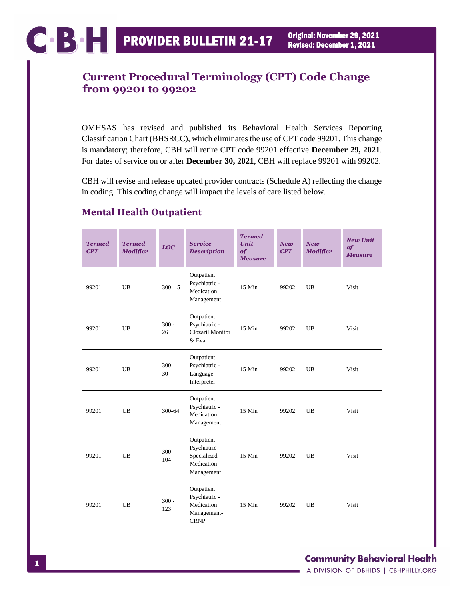## **Current Procedural Terminology (CPT) Code Change from 99201 to 99202**

OMHSAS has revised and published its Behavioral Health Services Reporting Classification Chart (BHSRCC), which eliminates the use of CPT code 99201. This change is mandatory; therefore, CBH will retire CPT code 99201 effective **December 29, 2021**. For dates of service on or after **December 30, 2021**, CBH will replace 99201 with 99202.

CBH will revise and release updated provider contracts (Schedule A) reflecting the change in coding. This coding change will impact the levels of care listed below.

| <b>Termed</b><br>CPT | <b>Termed</b><br><b>Modifier</b> | <b>LOC</b>     | <b>Service</b><br><b>Description</b>                                    | <b>Termed</b><br><b>Unit</b><br>of<br><b>Measure</b> | <b>New</b><br>CPT | <b>New</b><br><b>Modifier</b> | <b>New Unit</b><br>of<br><b>Measure</b> |
|----------------------|----------------------------------|----------------|-------------------------------------------------------------------------|------------------------------------------------------|-------------------|-------------------------------|-----------------------------------------|
| 99201                | UB                               | $300 - 5$      | Outpatient<br>Psychiatric -<br>Medication<br>Management                 | 15 Min                                               | 99202             | UB                            | Visit                                   |
| 99201                | $_{\text{UB}}$                   | $300 -$<br>26  | Outpatient<br>Psychiatric -<br>Clozaril Monitor<br>& Eval               | 15 Min                                               | 99202             | UB                            | Visit                                   |
| 99201                | <b>UB</b>                        | $300 -$<br>30  | Outpatient<br>Psychiatric -<br>Language<br>Interpreter                  | 15 Min                                               | 99202             | UB                            | Visit                                   |
| 99201                | UB                               | 300-64         | Outpatient<br>Psychiatric -<br>Medication<br>Management                 | 15 Min                                               | 99202             | UB                            | Visit                                   |
| 99201                | UB                               | $300 -$<br>104 | Outpatient<br>Psychiatric -<br>Specialized<br>Medication<br>Management  | 15 Min                                               | 99202             | UB                            | Visit                                   |
| 99201                | UB                               | $300 -$<br>123 | Outpatient<br>Psychiatric -<br>Medication<br>Management-<br><b>CRNP</b> | 15 Min                                               | 99202             | UB                            | Visit                                   |

#### **Mental Health Outpatient**

### **Community Behavioral Health**

A DIVISION OF DBHIDS | CBHPHILLY.ORG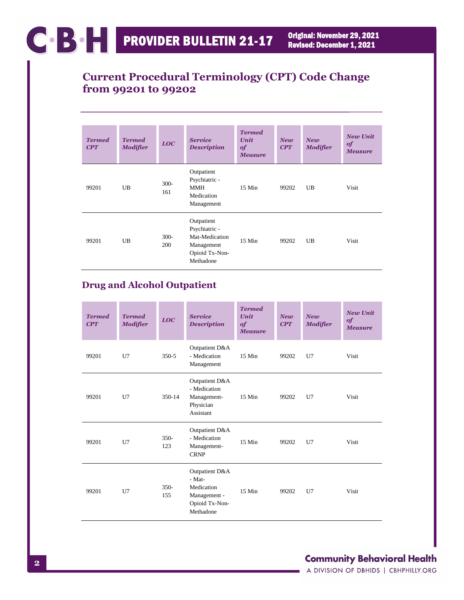# **Current Procedural Terminology (CPT) Code Change from 99201 to 99202**

| <b>Termed</b><br>CPT | <b>Termed</b><br><b>Modifier</b> | <b>LOC</b>     | <b>Service</b><br><b>Description</b>                                                       | <b>Termed</b><br><b>Unit</b><br>of<br><b>Measure</b> | <b>New</b><br>CPT | <b>New</b><br><b>Modifier</b> | <b>New Unit</b><br>of<br><b>Measure</b> |
|----------------------|----------------------------------|----------------|--------------------------------------------------------------------------------------------|------------------------------------------------------|-------------------|-------------------------------|-----------------------------------------|
| 99201                | UB                               | $300 -$<br>161 | Outpatient<br>Psychiatric -<br>MMH<br>Medication<br>Management                             | $15$ Min                                             | 99202             | UB                            | Visit                                   |
| 99201                | UB                               | $300 -$<br>200 | Outpatient<br>Psychiatric -<br>Mat-Medication<br>Management<br>Opioid Tx-Non-<br>Methadone | $15$ Min                                             | 99202             | UB                            | Visit                                   |

## **Drug and Alcohol Outpatient**

| <b>Termed</b><br>CPT | <b>Termed</b><br><b>Modifier</b> | <b>LOC</b>    | <b>Service</b><br><b>Description</b>                                                  | <b>Termed</b><br>Unit<br>of<br><b>Measure</b> | <b>New</b><br>CPT | <b>New</b><br><b>Modifier</b> | <b>New Unit</b><br>of<br><b>Measure</b> |
|----------------------|----------------------------------|---------------|---------------------------------------------------------------------------------------|-----------------------------------------------|-------------------|-------------------------------|-----------------------------------------|
| 99201                | U7                               | $350-5$       | Outpatient D&A<br>- Medication<br>Management                                          | $15$ Min                                      | 99202             | U7                            | Visit                                   |
| 99201                | U7                               | 350-14        | Outpatient D&A<br>- Medication<br>Management-<br>Physician<br>Assistant               | $15$ Min                                      | 99202             | U7                            | Visit                                   |
| 99201                | U7                               | $350-$<br>123 | Outpatient D&A<br>- Medication<br>Management-<br><b>CRNP</b>                          | 15 Min                                        | 99202             | U7                            | Visit                                   |
| 99201                | U7                               | $350-$<br>155 | Outpatient D&A<br>- Mat-<br>Medication<br>Management -<br>Opioid Tx-Non-<br>Methadone | $15$ Min                                      | 99202             | U7                            | Visit                                   |